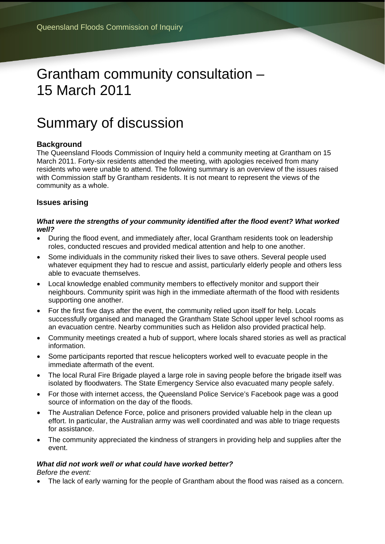# Grantham community consultation – 15 March 2011

## Summary of discussion

### **Background**

The Queensland Floods Commission of Inquiry held a community meeting at Grantham on 15 March 2011. Forty-six residents attended the meeting, with apologies received from many residents who were unable to attend. The following summary is an overview of the issues raised with Commission staff by Grantham residents. It is not meant to represent the views of the community as a whole.

#### **Issues arising**

#### *What were the strengths of your community identified after the flood event? What worked well?*

- During the flood event, and immediately after, local Grantham residents took on leadership roles, conducted rescues and provided medical attention and help to one another.
- Some individuals in the community risked their lives to save others. Several people used whatever equipment they had to rescue and assist, particularly elderly people and others less able to evacuate themselves.
- Local knowledge enabled community members to effectively monitor and support their neighbours. Community spirit was high in the immediate aftermath of the flood with residents supporting one another.
- For the first five days after the event, the community relied upon itself for help. Locals successfully organised and managed the Grantham State School upper level school rooms as an evacuation centre. Nearby communities such as Helidon also provided practical help.
- Community meetings created a hub of support, where locals shared stories as well as practical information.
- Some participants reported that rescue helicopters worked well to evacuate people in the immediate aftermath of the event.
- The local Rural Fire Brigade played a large role in saving people before the brigade itself was isolated by floodwaters. The State Emergency Service also evacuated many people safely.
- For those with internet access, the Queensland Police Service's Facebook page was a good source of information on the day of the floods.
- The Australian Defence Force, police and prisoners provided valuable help in the clean up effort. In particular, the Australian army was well coordinated and was able to triage requests for assistance.
- The community appreciated the kindness of strangers in providing help and supplies after the event.

#### *What did not work well or what could have worked better?*

*Before the event:* 

The lack of early warning for the people of Grantham about the flood was raised as a concern.